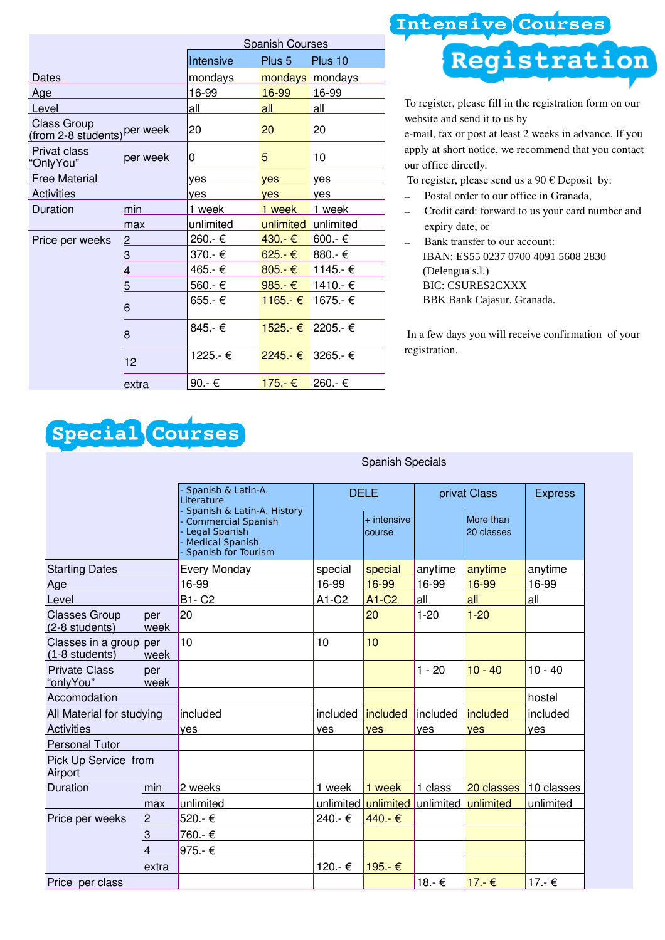|                                                    |                | <b>Spanish Courses</b> |                            |                 |  |  |
|----------------------------------------------------|----------------|------------------------|----------------------------|-----------------|--|--|
|                                                    |                | Intensive              | Plus 5                     | Plus 10         |  |  |
| Dates                                              |                | mondays                |                            | mondays mondays |  |  |
| Age                                                |                | 16-99                  | 16-99                      | 16-99           |  |  |
| Level                                              |                | all                    | all                        | all             |  |  |
| <b>Class Group</b><br>(from 2-8 students) per week |                | 20                     | 20                         | 20              |  |  |
| <b>Privat class</b><br><u>"OnlyYou"</u>            | per week       | 0                      | 5                          | 10              |  |  |
| <b>Free Material</b>                               |                | yes                    | <b>yes</b>                 | yes             |  |  |
| <b>Activities</b>                                  |                | ves                    | <b>yes</b>                 | yes             |  |  |
| Duration                                           | min            | 1 week                 | 1 week                     | 1 week          |  |  |
|                                                    | max            | unlimited              | unlimited                  | unlimited       |  |  |
| Price per weeks                                    | $\overline{2}$ | 260.-€                 | 430.- €                    | 600.-€          |  |  |
|                                                    | $\overline{3}$ | 370.-€                 | 625.- €                    | 880.-€          |  |  |
|                                                    | 4              | 465.-€                 | 805.- $\epsilon$           | 1145.-€         |  |  |
|                                                    | 5              | 560.-€                 | $985 - \epsilon$           | 1410.-€         |  |  |
|                                                    | 6              | $655 - \epsilon$       | $1165 - \epsilon$          | 1675.-€         |  |  |
|                                                    | 8              | $845 - \epsilon$       | $1525 - \epsilon$ 2205.- € |                 |  |  |
|                                                    | 12             | 1225.- €               | $2245 - \epsilon$ 3265 - € |                 |  |  |
|                                                    | extra          | 90.-€                  | 175.- € 260.- €            |                 |  |  |

## Intensive Courses Registration

To register, please fill in the registration form on our website and send it to us by

email, fax or post at least 2 weeks in advance. If you apply at short notice, we recommend that you contact our office directly.

To register, please send us a 90  $\epsilon$  Deposit by:

- − Postal order to our office in Granada,
- − Credit card: forward to us your card number and expiry date, or
- − Bank transfer to our account: IBAN: ES55 0237 0700 4091 5608 2830 (Delengua s.l.) BIC: CSURES2CXXX BBK Bank Cajasur. Granada.

In a few days you will receive confirmation of your registration.

### Special Courses

|                                            |                | Spanish & Latin-A.<br>Literature                                                                                          | <b>DELE</b>         |                         | privat Class        | <b>Express</b>          |            |
|--------------------------------------------|----------------|---------------------------------------------------------------------------------------------------------------------------|---------------------|-------------------------|---------------------|-------------------------|------------|
|                                            |                | Spanish & Latin-A. History<br><b>Commercial Spanish</b><br>Legal Spanish<br><b>Medical Spanish</b><br>Spanish for Tourism |                     | $+$ intensive<br>course |                     | More than<br>20 classes |            |
| <b>Starting Dates</b>                      |                | <b>Every Monday</b>                                                                                                       | special<br>special  |                         | anytime<br>anytime  |                         | anytime    |
| Age                                        |                | 16-99                                                                                                                     | 16-99               | 16-99                   | 16-99               | 16-99                   | 16-99      |
| Level                                      |                | <b>B1-C2</b>                                                                                                              | A1-C2               | A1-C2                   | all                 | all                     | all        |
| <b>Classes Group</b><br>(2-8 students)     | per<br>week    | 20                                                                                                                        |                     | 20                      | $1 - 20$            | $1 - 20$                |            |
| Classes in a group per<br>$(1-8$ students) | week           | 10                                                                                                                        | 10                  | 10                      |                     |                         |            |
| <b>Private Class</b><br>"onlyYou"          | per<br>week    |                                                                                                                           |                     |                         | $1 - 20$            | $10 - 40$               | $10 - 40$  |
| Accomodation                               |                |                                                                                                                           |                     |                         |                     |                         | hostel     |
| All Material for studying                  |                | included                                                                                                                  | included            | <i>included</i>         | included            | included                | included   |
| <b>Activities</b>                          |                | ves                                                                                                                       | yes                 | yes                     | yes                 | <b>ves</b>              | ves        |
| <b>Personal Tutor</b>                      |                |                                                                                                                           |                     |                         |                     |                         |            |
| Pick Up Service from<br>Airport            |                |                                                                                                                           |                     |                         |                     |                         |            |
| <b>Duration</b>                            | min            | 2 weeks                                                                                                                   | 1 week              | 1 week                  | 1 class             | 20 classes              | 10 classes |
|                                            | max            | unlimited                                                                                                                 | unlimited unlimited |                         | unlimited unlimited |                         | unlimited  |
| Price per weeks                            | $\overline{c}$ | 520.-€                                                                                                                    | 240.-€              | 440.-€                  |                     |                         |            |
|                                            | $\sqrt{3}$     | 760.- €                                                                                                                   |                     |                         |                     |                         |            |
|                                            | 4              | 975.-€                                                                                                                    |                     |                         |                     |                         |            |
|                                            | extra          |                                                                                                                           | 120.-€              | 195.-€                  |                     |                         |            |
| Price per class                            |                |                                                                                                                           |                     |                         | 18.-€               | 17.-€                   | 17.-€      |

#### Spanish Specials